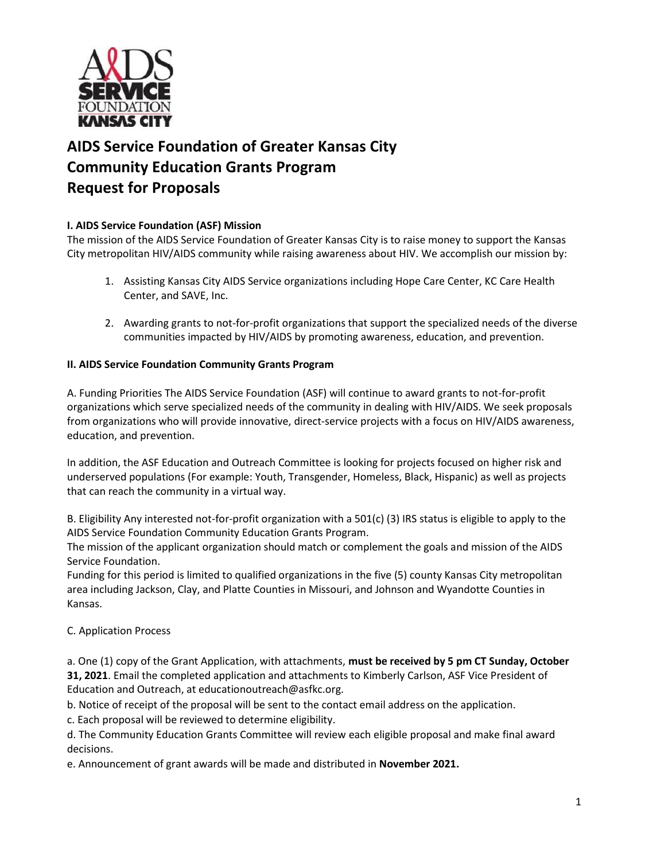

# **AIDS Service Foundation of Greater Kansas City Community Education Grants Program Request for Proposals**

# **I. AIDS Service Foundation (ASF) Mission**

The mission of the AIDS Service Foundation of Greater Kansas City is to raise money to support the Kansas City metropolitan HIV/AIDS community while raising awareness about HIV. We accomplish our mission by:

- 1. Assisting Kansas City AIDS Service organizations including Hope Care Center, KC Care Health Center, and SAVE, Inc.
- 2. Awarding grants to not-for-profit organizations that support the specialized needs of the diverse communities impacted by HIV/AIDS by promoting awareness, education, and prevention.

#### **II. AIDS Service Foundation Community Grants Program**

A. Funding Priorities The AIDS Service Foundation (ASF) will continue to award grants to not-for-profit organizations which serve specialized needs of the community in dealing with HIV/AIDS. We seek proposals from organizations who will provide innovative, direct-service projects with a focus on HIV/AIDS awareness, education, and prevention.

In addition, the ASF Education and Outreach Committee is looking for projects focused on higher risk and underserved populations (For example: Youth, Transgender, Homeless, Black, Hispanic) as well as projects that can reach the community in a virtual way.

B. Eligibility Any interested not-for-profit organization with a 501(c) (3) IRS status is eligible to apply to the AIDS Service Foundation Community Education Grants Program.

The mission of the applicant organization should match or complement the goals and mission of the AIDS Service Foundation.

Funding for this period is limited to qualified organizations in the five (5) county Kansas City metropolitan area including Jackson, Clay, and Platte Counties in Missouri, and Johnson and Wyandotte Counties in Kansas.

## C. Application Process

a. One (1) copy of the Grant Application, with attachments, **must be received by 5 pm CT Sunday, October 31, 2021**. Email the completed application and attachments to Kimberly Carlson, ASF Vice President of Education and Outreach, at educationoutreach@asfkc.org.

b. Notice of receipt of the proposal will be sent to the contact email address on the application.

c. Each proposal will be reviewed to determine eligibility.

d. The Community Education Grants Committee will review each eligible proposal and make final award decisions.

e. Announcement of grant awards will be made and distributed in **November 2021.**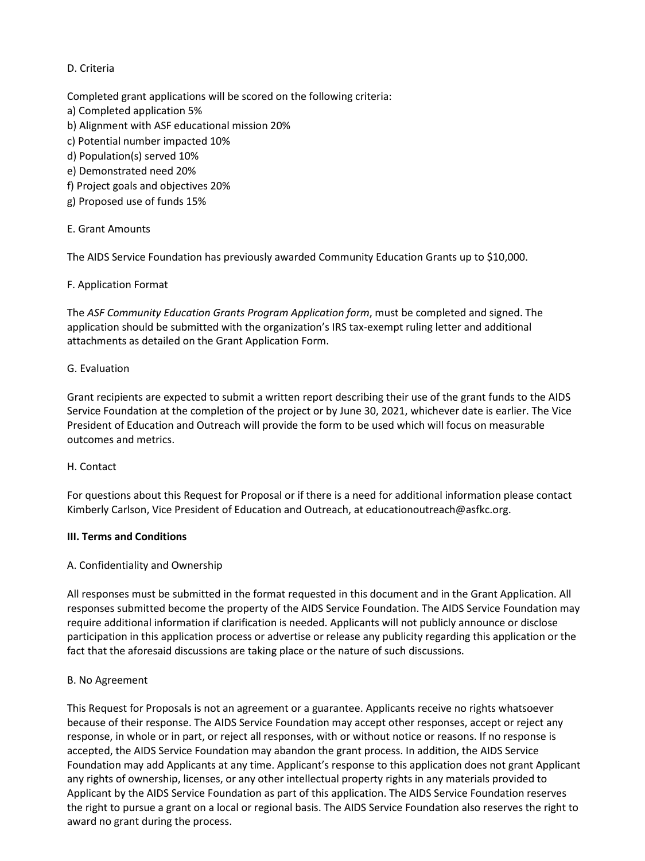# D. Criteria

Completed grant applications will be scored on the following criteria:

- a) Completed application 5%
- b) Alignment with ASF educational mission 20%
- c) Potential number impacted 10%
- d) Population(s) served 10%
- e) Demonstrated need 20%
- f) Project goals and objectives 20%
- g) Proposed use of funds 15%

## E. Grant Amounts

The AIDS Service Foundation has previously awarded Community Education Grants up to \$10,000.

## F. Application Format

The *ASF Community Education Grants Program Application form*, must be completed and signed. The application should be submitted with the organization's IRS tax-exempt ruling letter and additional attachments as detailed on the Grant Application Form.

## G. Evaluation

Grant recipients are expected to submit a written report describing their use of the grant funds to the AIDS Service Foundation at the completion of the project or by June 30, 2021, whichever date is earlier. The Vice President of Education and Outreach will provide the form to be used which will focus on measurable outcomes and metrics.

## H. Contact

For questions about this Request for Proposal or if there is a need for additional information please contact Kimberly Carlson, Vice President of Education and Outreach, at educationoutreach@asfkc.org.

## **III. Terms and Conditions**

## A. Confidentiality and Ownership

All responses must be submitted in the format requested in this document and in the Grant Application. All responses submitted become the property of the AIDS Service Foundation. The AIDS Service Foundation may require additional information if clarification is needed. Applicants will not publicly announce or disclose participation in this application process or advertise or release any publicity regarding this application or the fact that the aforesaid discussions are taking place or the nature of such discussions.

## B. No Agreement

This Request for Proposals is not an agreement or a guarantee. Applicants receive no rights whatsoever because of their response. The AIDS Service Foundation may accept other responses, accept or reject any response, in whole or in part, or reject all responses, with or without notice or reasons. If no response is accepted, the AIDS Service Foundation may abandon the grant process. In addition, the AIDS Service Foundation may add Applicants at any time. Applicant's response to this application does not grant Applicant any rights of ownership, licenses, or any other intellectual property rights in any materials provided to Applicant by the AIDS Service Foundation as part of this application. The AIDS Service Foundation reserves the right to pursue a grant on a local or regional basis. The AIDS Service Foundation also reserves the right to award no grant during the process.